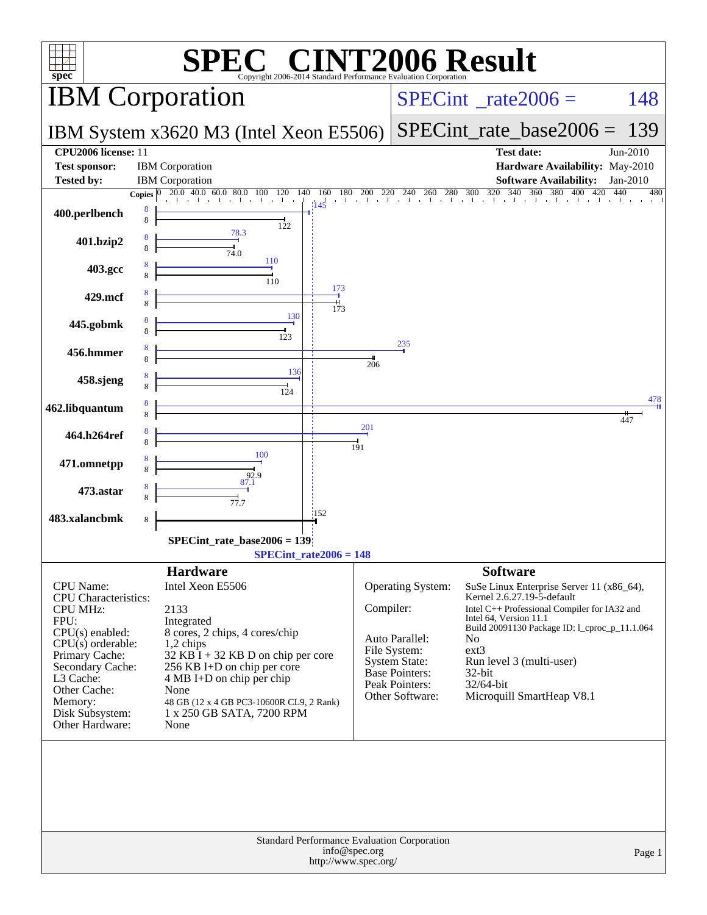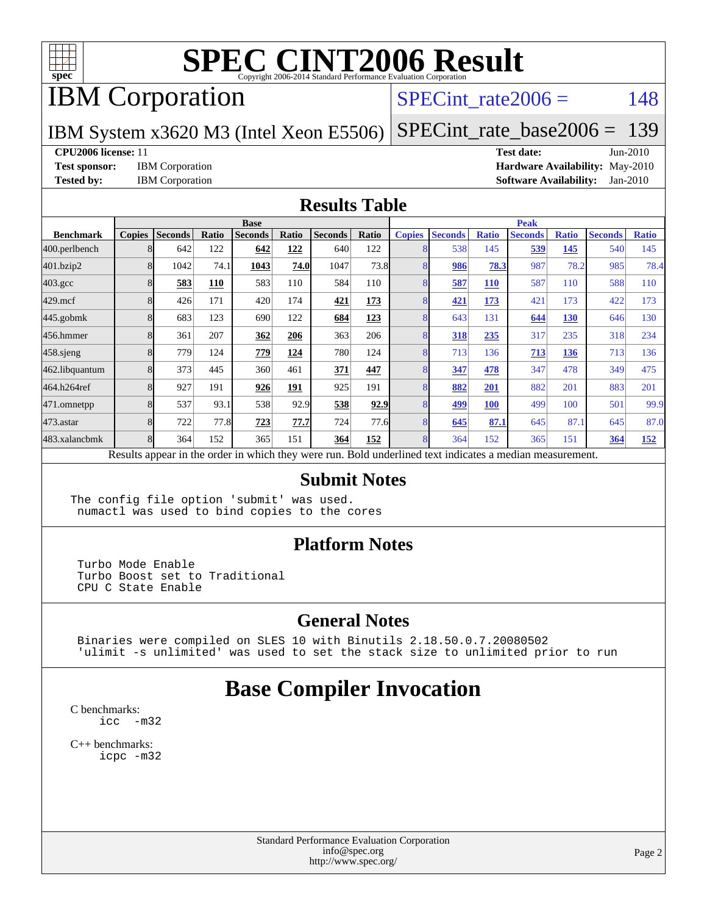

## IBM Corporation

### SPECint rate $2006 = 148$

IBM System x3620 M3 (Intel Xeon E5506)

[SPECint\\_rate\\_base2006 =](http://www.spec.org/auto/cpu2006/Docs/result-fields.html#SPECintratebase2006) 139

#### **[CPU2006 license:](http://www.spec.org/auto/cpu2006/Docs/result-fields.html#CPU2006license)** 11 **[Test date:](http://www.spec.org/auto/cpu2006/Docs/result-fields.html#Testdate)** Jun-2010

**[Test sponsor:](http://www.spec.org/auto/cpu2006/Docs/result-fields.html#Testsponsor)** IBM Corporation **[Hardware Availability:](http://www.spec.org/auto/cpu2006/Docs/result-fields.html#HardwareAvailability)** May-2010 **[Tested by:](http://www.spec.org/auto/cpu2006/Docs/result-fields.html#Testedby)** IBM Corporation **[Software Availability:](http://www.spec.org/auto/cpu2006/Docs/result-fields.html#SoftwareAvailability)** Jan-2010

#### **[Results Table](http://www.spec.org/auto/cpu2006/Docs/result-fields.html#ResultsTable)**

|                    | <b>Base</b>   |                |       |                                                                                                          |       |                |       | <b>Peak</b>   |                |              |                |              |                |              |
|--------------------|---------------|----------------|-------|----------------------------------------------------------------------------------------------------------|-------|----------------|-------|---------------|----------------|--------------|----------------|--------------|----------------|--------------|
| <b>Benchmark</b>   | <b>Copies</b> | <b>Seconds</b> | Ratio | <b>Seconds</b>                                                                                           | Ratio | <b>Seconds</b> | Ratio | <b>Copies</b> | <b>Seconds</b> | <b>Ratio</b> | <b>Seconds</b> | <b>Ratio</b> | <b>Seconds</b> | <b>Ratio</b> |
| 400.perlbench      |               | 642            | 122   | 642                                                                                                      | 122   | 640            | 122   | 8             | 538            | 145          | 539            | 145          | 540            | 145          |
| 401.bzip2          |               | 1042           | 74.1  | 1043                                                                                                     | 74.0  | 1047           | 73.8  | 8             | 986            | 78.3         | 987            | 78.2         | 985            | 78.4         |
| $403.\mathrm{gcc}$ |               | 583            | 110   | 583                                                                                                      | 110   | 584            | 110   | 8             | 587            | <b>110</b>   | 587            | 110          | 588            | 110          |
| $429$ .mcf         |               | 426            | 171   | 420                                                                                                      | 174   | 421            | 173   | 8             | 421            | 173          | 421            | 173          | 422            | 173          |
| $445$ .gobm $k$    |               | 683            | 123   | 690                                                                                                      | 122   | 684            | 123   | 8             | 643            | 131          | 644            | 130          | 646            | 130          |
| 456.hmmer          |               | 361            | 207   | 362                                                                                                      | 206   | 363            | 206   | 8             | 318            | 235          | 317            | 235          | 318            | 234          |
| $458$ .sjeng       |               | 779            | 124   | 779                                                                                                      | 124   | 780            | 124   | 8             | 713            | 136          | 713            | 136          | 713            | 136          |
| 462.libquantum     |               | 373            | 445   | 360                                                                                                      | 461   | 371            | 447   | 8             | 347            | 478          | 347            | 478          | 349            | 475          |
| 464.h264ref        |               | 927            | 191   | 926                                                                                                      | 191   | 925            | 191   | 8             | 882            | 201          | 882            | 201          | 883            | 201          |
| 471.omnetpp        |               | 537            | 93.1  | 538                                                                                                      | 92.9  | 538            | 92.9  | 8             | 499            | <b>100</b>   | 499            | 100          | 501            | 99.9         |
| 473.astar          |               | 722            | 77.8  | 723                                                                                                      | 77.7  | 724            | 77.6  | 8             | 645            | 87.1         | 645            | 87.1         | 645            | 87.0         |
| 483.xalancbmk      |               | 364            | 152   | 365                                                                                                      | 151   | 364            | 152   | 8             | 364            | 152          | 365            | 151          | 364            | <u>152</u>   |
|                    |               |                |       | Results appear in the order in which they were run. Bold underlined text indicates a median measurement. |       |                |       |               |                |              |                |              |                |              |

#### **[Submit Notes](http://www.spec.org/auto/cpu2006/Docs/result-fields.html#SubmitNotes)**

The config file option 'submit' was used. numactl was used to bind copies to the cores

#### **[Platform Notes](http://www.spec.org/auto/cpu2006/Docs/result-fields.html#PlatformNotes)**

 Turbo Mode Enable Turbo Boost set to Traditional CPU C State Enable

#### **[General Notes](http://www.spec.org/auto/cpu2006/Docs/result-fields.html#GeneralNotes)**

 Binaries were compiled on SLES 10 with Binutils 2.18.50.0.7.20080502 'ulimit -s unlimited' was used to set the stack size to unlimited prior to run

## **[Base Compiler Invocation](http://www.spec.org/auto/cpu2006/Docs/result-fields.html#BaseCompilerInvocation)**

[C benchmarks](http://www.spec.org/auto/cpu2006/Docs/result-fields.html#Cbenchmarks): [icc -m32](http://www.spec.org/cpu2006/results/res2010q3/cpu2006-20100621-11858.flags.html#user_CCbase_intel_icc_32bit_5ff4a39e364c98233615fdd38438c6f2)

[C++ benchmarks:](http://www.spec.org/auto/cpu2006/Docs/result-fields.html#CXXbenchmarks) [icpc -m32](http://www.spec.org/cpu2006/results/res2010q3/cpu2006-20100621-11858.flags.html#user_CXXbase_intel_icpc_32bit_4e5a5ef1a53fd332b3c49e69c3330699)

> Standard Performance Evaluation Corporation [info@spec.org](mailto:info@spec.org) <http://www.spec.org/>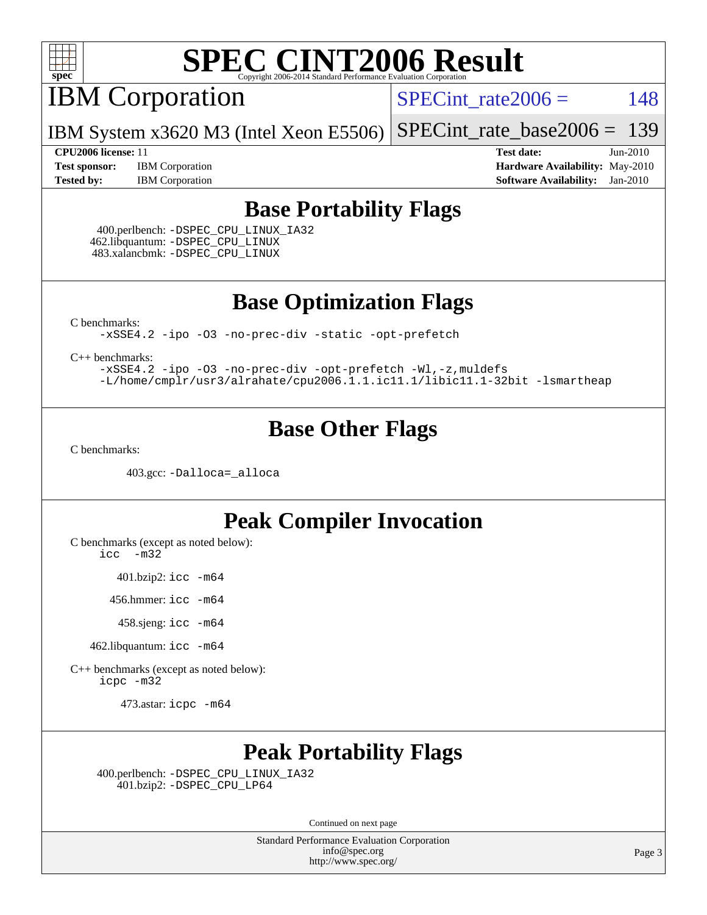

IBM Corporation

 $SPECTnt_rate2006 = 148$ 

IBM System x3620 M3 (Intel Xeon E5506) [SPECint\\_rate\\_base2006 =](http://www.spec.org/auto/cpu2006/Docs/result-fields.html#SPECintratebase2006) 139

**[Test sponsor:](http://www.spec.org/auto/cpu2006/Docs/result-fields.html#Testsponsor)** IBM Corporation **[Hardware Availability:](http://www.spec.org/auto/cpu2006/Docs/result-fields.html#HardwareAvailability)** May-2010 **[Tested by:](http://www.spec.org/auto/cpu2006/Docs/result-fields.html#Testedby)** IBM Corporation **[Software Availability:](http://www.spec.org/auto/cpu2006/Docs/result-fields.html#SoftwareAvailability)** Jan-2010

**[CPU2006 license:](http://www.spec.org/auto/cpu2006/Docs/result-fields.html#CPU2006license)** 11 **[Test date:](http://www.spec.org/auto/cpu2006/Docs/result-fields.html#Testdate)** Jun-2010

### **[Base Portability Flags](http://www.spec.org/auto/cpu2006/Docs/result-fields.html#BasePortabilityFlags)**

 400.perlbench: [-DSPEC\\_CPU\\_LINUX\\_IA32](http://www.spec.org/cpu2006/results/res2010q3/cpu2006-20100621-11858.flags.html#b400.perlbench_baseCPORTABILITY_DSPEC_CPU_LINUX_IA32) 462.libquantum: [-DSPEC\\_CPU\\_LINUX](http://www.spec.org/cpu2006/results/res2010q3/cpu2006-20100621-11858.flags.html#b462.libquantum_baseCPORTABILITY_DSPEC_CPU_LINUX) 483.xalancbmk: [-DSPEC\\_CPU\\_LINUX](http://www.spec.org/cpu2006/results/res2010q3/cpu2006-20100621-11858.flags.html#b483.xalancbmk_baseCXXPORTABILITY_DSPEC_CPU_LINUX)

**[Base Optimization Flags](http://www.spec.org/auto/cpu2006/Docs/result-fields.html#BaseOptimizationFlags)**

[C benchmarks](http://www.spec.org/auto/cpu2006/Docs/result-fields.html#Cbenchmarks):

[-xSSE4.2](http://www.spec.org/cpu2006/results/res2010q3/cpu2006-20100621-11858.flags.html#user_CCbase_f-xSSE42_f91528193cf0b216347adb8b939d4107) [-ipo](http://www.spec.org/cpu2006/results/res2010q3/cpu2006-20100621-11858.flags.html#user_CCbase_f-ipo) [-O3](http://www.spec.org/cpu2006/results/res2010q3/cpu2006-20100621-11858.flags.html#user_CCbase_f-O3) [-no-prec-div](http://www.spec.org/cpu2006/results/res2010q3/cpu2006-20100621-11858.flags.html#user_CCbase_f-no-prec-div) [-static](http://www.spec.org/cpu2006/results/res2010q3/cpu2006-20100621-11858.flags.html#user_CCbase_f-static) [-opt-prefetch](http://www.spec.org/cpu2006/results/res2010q3/cpu2006-20100621-11858.flags.html#user_CCbase_f-opt-prefetch)

[C++ benchmarks:](http://www.spec.org/auto/cpu2006/Docs/result-fields.html#CXXbenchmarks)

[-xSSE4.2](http://www.spec.org/cpu2006/results/res2010q3/cpu2006-20100621-11858.flags.html#user_CXXbase_f-xSSE42_f91528193cf0b216347adb8b939d4107) [-ipo](http://www.spec.org/cpu2006/results/res2010q3/cpu2006-20100621-11858.flags.html#user_CXXbase_f-ipo) [-O3](http://www.spec.org/cpu2006/results/res2010q3/cpu2006-20100621-11858.flags.html#user_CXXbase_f-O3) [-no-prec-div](http://www.spec.org/cpu2006/results/res2010q3/cpu2006-20100621-11858.flags.html#user_CXXbase_f-no-prec-div) [-opt-prefetch](http://www.spec.org/cpu2006/results/res2010q3/cpu2006-20100621-11858.flags.html#user_CXXbase_f-opt-prefetch) [-Wl,-z,muldefs](http://www.spec.org/cpu2006/results/res2010q3/cpu2006-20100621-11858.flags.html#user_CXXbase_link_force_multiple1_74079c344b956b9658436fd1b6dd3a8a) [-L/home/cmplr/usr3/alrahate/cpu2006.1.1.ic11.1/libic11.1-32bit -lsmartheap](http://www.spec.org/cpu2006/results/res2010q3/cpu2006-20100621-11858.flags.html#user_CXXbase_SmartHeap_d86dffe4a79b79ef8890d5cce17030c3)

### **[Base Other Flags](http://www.spec.org/auto/cpu2006/Docs/result-fields.html#BaseOtherFlags)**

[C benchmarks](http://www.spec.org/auto/cpu2006/Docs/result-fields.html#Cbenchmarks):

403.gcc: [-Dalloca=\\_alloca](http://www.spec.org/cpu2006/results/res2010q3/cpu2006-20100621-11858.flags.html#b403.gcc_baseEXTRA_CFLAGS_Dalloca_be3056838c12de2578596ca5467af7f3)

### **[Peak Compiler Invocation](http://www.spec.org/auto/cpu2006/Docs/result-fields.html#PeakCompilerInvocation)**

[C benchmarks \(except as noted below\)](http://www.spec.org/auto/cpu2006/Docs/result-fields.html#Cbenchmarksexceptasnotedbelow):

[icc -m32](http://www.spec.org/cpu2006/results/res2010q3/cpu2006-20100621-11858.flags.html#user_CCpeak_intel_icc_32bit_5ff4a39e364c98233615fdd38438c6f2)

401.bzip2: [icc -m64](http://www.spec.org/cpu2006/results/res2010q3/cpu2006-20100621-11858.flags.html#user_peakCCLD401_bzip2_intel_icc_64bit_bda6cc9af1fdbb0edc3795bac97ada53)

456.hmmer: [icc -m64](http://www.spec.org/cpu2006/results/res2010q3/cpu2006-20100621-11858.flags.html#user_peakCCLD456_hmmer_intel_icc_64bit_bda6cc9af1fdbb0edc3795bac97ada53)

458.sjeng: [icc -m64](http://www.spec.org/cpu2006/results/res2010q3/cpu2006-20100621-11858.flags.html#user_peakCCLD458_sjeng_intel_icc_64bit_bda6cc9af1fdbb0edc3795bac97ada53)

462.libquantum: [icc -m64](http://www.spec.org/cpu2006/results/res2010q3/cpu2006-20100621-11858.flags.html#user_peakCCLD462_libquantum_intel_icc_64bit_bda6cc9af1fdbb0edc3795bac97ada53)

[C++ benchmarks \(except as noted below\):](http://www.spec.org/auto/cpu2006/Docs/result-fields.html#CXXbenchmarksexceptasnotedbelow) [icpc -m32](http://www.spec.org/cpu2006/results/res2010q3/cpu2006-20100621-11858.flags.html#user_CXXpeak_intel_icpc_32bit_4e5a5ef1a53fd332b3c49e69c3330699)

473.astar: [icpc -m64](http://www.spec.org/cpu2006/results/res2010q3/cpu2006-20100621-11858.flags.html#user_peakCXXLD473_astar_intel_icpc_64bit_fc66a5337ce925472a5c54ad6a0de310)

## **[Peak Portability Flags](http://www.spec.org/auto/cpu2006/Docs/result-fields.html#PeakPortabilityFlags)**

 400.perlbench: [-DSPEC\\_CPU\\_LINUX\\_IA32](http://www.spec.org/cpu2006/results/res2010q3/cpu2006-20100621-11858.flags.html#b400.perlbench_peakCPORTABILITY_DSPEC_CPU_LINUX_IA32) 401.bzip2: [-DSPEC\\_CPU\\_LP64](http://www.spec.org/cpu2006/results/res2010q3/cpu2006-20100621-11858.flags.html#suite_peakCPORTABILITY401_bzip2_DSPEC_CPU_LP64)

Continued on next page

Standard Performance Evaluation Corporation [info@spec.org](mailto:info@spec.org) <http://www.spec.org/>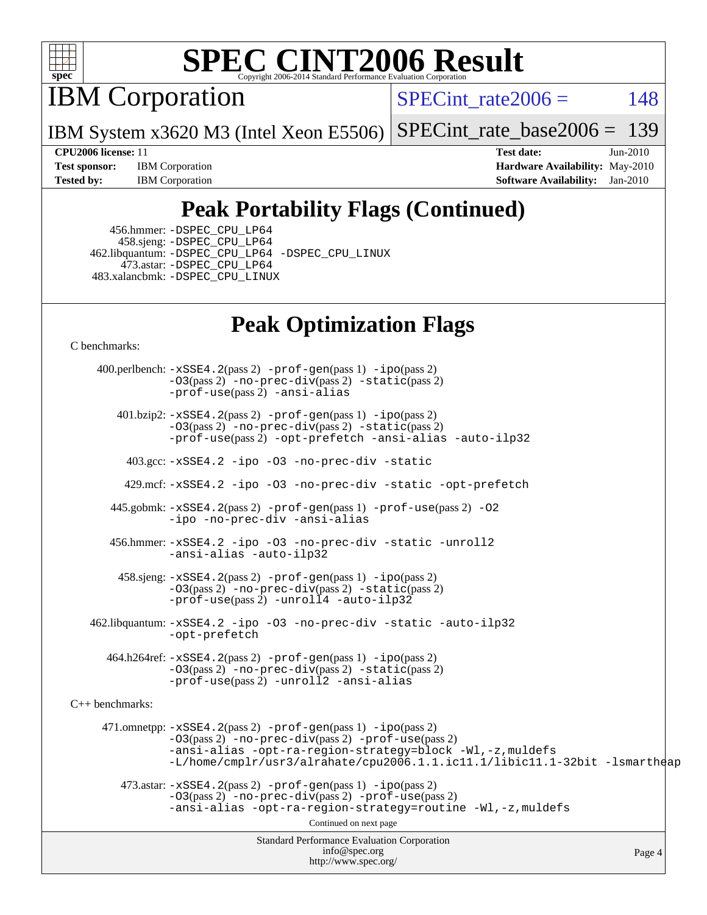

IBM Corporation

SPECint rate $2006 = 148$ 

IBM System x3620 M3 (Intel Xeon E5506) [SPECint\\_rate\\_base2006 =](http://www.spec.org/auto/cpu2006/Docs/result-fields.html#SPECintratebase2006) 139

**[Test sponsor:](http://www.spec.org/auto/cpu2006/Docs/result-fields.html#Testsponsor)** IBM Corporation **[Hardware Availability:](http://www.spec.org/auto/cpu2006/Docs/result-fields.html#HardwareAvailability)** May-2010

**[CPU2006 license:](http://www.spec.org/auto/cpu2006/Docs/result-fields.html#CPU2006license)** 11 **[Test date:](http://www.spec.org/auto/cpu2006/Docs/result-fields.html#Testdate)** Jun-2010 **[Tested by:](http://www.spec.org/auto/cpu2006/Docs/result-fields.html#Testedby)** IBM Corporation **[Software Availability:](http://www.spec.org/auto/cpu2006/Docs/result-fields.html#SoftwareAvailability)** Jan-2010

## **[Peak Portability Flags \(Continued\)](http://www.spec.org/auto/cpu2006/Docs/result-fields.html#PeakPortabilityFlags)**

 456.hmmer: [-DSPEC\\_CPU\\_LP64](http://www.spec.org/cpu2006/results/res2010q3/cpu2006-20100621-11858.flags.html#suite_peakCPORTABILITY456_hmmer_DSPEC_CPU_LP64) 458.sjeng: [-DSPEC\\_CPU\\_LP64](http://www.spec.org/cpu2006/results/res2010q3/cpu2006-20100621-11858.flags.html#suite_peakCPORTABILITY458_sjeng_DSPEC_CPU_LP64) 462.libquantum: [-DSPEC\\_CPU\\_LP64](http://www.spec.org/cpu2006/results/res2010q3/cpu2006-20100621-11858.flags.html#suite_peakCPORTABILITY462_libquantum_DSPEC_CPU_LP64) [-DSPEC\\_CPU\\_LINUX](http://www.spec.org/cpu2006/results/res2010q3/cpu2006-20100621-11858.flags.html#b462.libquantum_peakCPORTABILITY_DSPEC_CPU_LINUX) 473.astar: [-DSPEC\\_CPU\\_LP64](http://www.spec.org/cpu2006/results/res2010q3/cpu2006-20100621-11858.flags.html#suite_peakCXXPORTABILITY473_astar_DSPEC_CPU_LP64) 483.xalancbmk: [-DSPEC\\_CPU\\_LINUX](http://www.spec.org/cpu2006/results/res2010q3/cpu2006-20100621-11858.flags.html#b483.xalancbmk_peakCXXPORTABILITY_DSPEC_CPU_LINUX)

## **[Peak Optimization Flags](http://www.spec.org/auto/cpu2006/Docs/result-fields.html#PeakOptimizationFlags)**

[C benchmarks](http://www.spec.org/auto/cpu2006/Docs/result-fields.html#Cbenchmarks):

Standard Performance Evaluation Corporation [info@spec.org](mailto:info@spec.org) <http://www.spec.org/> Page 4 400.perlbench: [-xSSE4.2](http://www.spec.org/cpu2006/results/res2010q3/cpu2006-20100621-11858.flags.html#user_peakPASS2_CFLAGSPASS2_LDCFLAGS400_perlbench_f-xSSE42_f91528193cf0b216347adb8b939d4107)(pass 2) [-prof-gen](http://www.spec.org/cpu2006/results/res2010q3/cpu2006-20100621-11858.flags.html#user_peakPASS1_CFLAGSPASS1_LDCFLAGS400_perlbench_prof_gen_e43856698f6ca7b7e442dfd80e94a8fc)(pass 1) [-ipo](http://www.spec.org/cpu2006/results/res2010q3/cpu2006-20100621-11858.flags.html#user_peakPASS2_CFLAGSPASS2_LDCFLAGS400_perlbench_f-ipo)(pass 2) [-O3](http://www.spec.org/cpu2006/results/res2010q3/cpu2006-20100621-11858.flags.html#user_peakPASS2_CFLAGSPASS2_LDCFLAGS400_perlbench_f-O3)(pass 2) [-no-prec-div](http://www.spec.org/cpu2006/results/res2010q3/cpu2006-20100621-11858.flags.html#user_peakPASS2_CFLAGSPASS2_LDCFLAGS400_perlbench_f-no-prec-div)(pass 2) [-static](http://www.spec.org/cpu2006/results/res2010q3/cpu2006-20100621-11858.flags.html#user_peakPASS2_CFLAGSPASS2_LDCFLAGS400_perlbench_f-static)(pass 2) [-prof-use](http://www.spec.org/cpu2006/results/res2010q3/cpu2006-20100621-11858.flags.html#user_peakPASS2_CFLAGSPASS2_LDCFLAGS400_perlbench_prof_use_bccf7792157ff70d64e32fe3e1250b55)(pass 2) [-ansi-alias](http://www.spec.org/cpu2006/results/res2010q3/cpu2006-20100621-11858.flags.html#user_peakCOPTIMIZE400_perlbench_f-ansi-alias) 401.bzip2: [-xSSE4.2](http://www.spec.org/cpu2006/results/res2010q3/cpu2006-20100621-11858.flags.html#user_peakPASS2_CFLAGSPASS2_LDCFLAGS401_bzip2_f-xSSE42_f91528193cf0b216347adb8b939d4107)(pass 2) [-prof-gen](http://www.spec.org/cpu2006/results/res2010q3/cpu2006-20100621-11858.flags.html#user_peakPASS1_CFLAGSPASS1_LDCFLAGS401_bzip2_prof_gen_e43856698f6ca7b7e442dfd80e94a8fc)(pass 1) [-ipo](http://www.spec.org/cpu2006/results/res2010q3/cpu2006-20100621-11858.flags.html#user_peakPASS2_CFLAGSPASS2_LDCFLAGS401_bzip2_f-ipo)(pass 2) [-O3](http://www.spec.org/cpu2006/results/res2010q3/cpu2006-20100621-11858.flags.html#user_peakPASS2_CFLAGSPASS2_LDCFLAGS401_bzip2_f-O3)(pass 2) [-no-prec-div](http://www.spec.org/cpu2006/results/res2010q3/cpu2006-20100621-11858.flags.html#user_peakPASS2_CFLAGSPASS2_LDCFLAGS401_bzip2_f-no-prec-div)(pass 2) [-static](http://www.spec.org/cpu2006/results/res2010q3/cpu2006-20100621-11858.flags.html#user_peakPASS2_CFLAGSPASS2_LDCFLAGS401_bzip2_f-static)(pass 2) [-prof-use](http://www.spec.org/cpu2006/results/res2010q3/cpu2006-20100621-11858.flags.html#user_peakPASS2_CFLAGSPASS2_LDCFLAGS401_bzip2_prof_use_bccf7792157ff70d64e32fe3e1250b55)(pass 2) [-opt-prefetch](http://www.spec.org/cpu2006/results/res2010q3/cpu2006-20100621-11858.flags.html#user_peakCOPTIMIZE401_bzip2_f-opt-prefetch) [-ansi-alias](http://www.spec.org/cpu2006/results/res2010q3/cpu2006-20100621-11858.flags.html#user_peakCOPTIMIZE401_bzip2_f-ansi-alias) [-auto-ilp32](http://www.spec.org/cpu2006/results/res2010q3/cpu2006-20100621-11858.flags.html#user_peakCOPTIMIZE401_bzip2_f-auto-ilp32) 403.gcc: [-xSSE4.2](http://www.spec.org/cpu2006/results/res2010q3/cpu2006-20100621-11858.flags.html#user_peakCOPTIMIZE403_gcc_f-xSSE42_f91528193cf0b216347adb8b939d4107) [-ipo](http://www.spec.org/cpu2006/results/res2010q3/cpu2006-20100621-11858.flags.html#user_peakCOPTIMIZE403_gcc_f-ipo) [-O3](http://www.spec.org/cpu2006/results/res2010q3/cpu2006-20100621-11858.flags.html#user_peakCOPTIMIZE403_gcc_f-O3) [-no-prec-div](http://www.spec.org/cpu2006/results/res2010q3/cpu2006-20100621-11858.flags.html#user_peakCOPTIMIZE403_gcc_f-no-prec-div) [-static](http://www.spec.org/cpu2006/results/res2010q3/cpu2006-20100621-11858.flags.html#user_peakCOPTIMIZE403_gcc_f-static) 429.mcf: [-xSSE4.2](http://www.spec.org/cpu2006/results/res2010q3/cpu2006-20100621-11858.flags.html#user_peakCOPTIMIZE429_mcf_f-xSSE42_f91528193cf0b216347adb8b939d4107) [-ipo](http://www.spec.org/cpu2006/results/res2010q3/cpu2006-20100621-11858.flags.html#user_peakCOPTIMIZE429_mcf_f-ipo) [-O3](http://www.spec.org/cpu2006/results/res2010q3/cpu2006-20100621-11858.flags.html#user_peakCOPTIMIZE429_mcf_f-O3) [-no-prec-div](http://www.spec.org/cpu2006/results/res2010q3/cpu2006-20100621-11858.flags.html#user_peakCOPTIMIZE429_mcf_f-no-prec-div) [-static](http://www.spec.org/cpu2006/results/res2010q3/cpu2006-20100621-11858.flags.html#user_peakCOPTIMIZE429_mcf_f-static) [-opt-prefetch](http://www.spec.org/cpu2006/results/res2010q3/cpu2006-20100621-11858.flags.html#user_peakCOPTIMIZE429_mcf_f-opt-prefetch) 445.gobmk: [-xSSE4.2](http://www.spec.org/cpu2006/results/res2010q3/cpu2006-20100621-11858.flags.html#user_peakPASS2_CFLAGSPASS2_LDCFLAGS445_gobmk_f-xSSE42_f91528193cf0b216347adb8b939d4107)(pass 2) [-prof-gen](http://www.spec.org/cpu2006/results/res2010q3/cpu2006-20100621-11858.flags.html#user_peakPASS1_CFLAGSPASS1_LDCFLAGS445_gobmk_prof_gen_e43856698f6ca7b7e442dfd80e94a8fc)(pass 1) [-prof-use](http://www.spec.org/cpu2006/results/res2010q3/cpu2006-20100621-11858.flags.html#user_peakPASS2_CFLAGSPASS2_LDCFLAGS445_gobmk_prof_use_bccf7792157ff70d64e32fe3e1250b55)(pass 2) [-O2](http://www.spec.org/cpu2006/results/res2010q3/cpu2006-20100621-11858.flags.html#user_peakCOPTIMIZE445_gobmk_f-O2) [-ipo](http://www.spec.org/cpu2006/results/res2010q3/cpu2006-20100621-11858.flags.html#user_peakCOPTIMIZE445_gobmk_f-ipo) [-no-prec-div](http://www.spec.org/cpu2006/results/res2010q3/cpu2006-20100621-11858.flags.html#user_peakCOPTIMIZE445_gobmk_f-no-prec-div) [-ansi-alias](http://www.spec.org/cpu2006/results/res2010q3/cpu2006-20100621-11858.flags.html#user_peakCOPTIMIZE445_gobmk_f-ansi-alias) 456.hmmer: [-xSSE4.2](http://www.spec.org/cpu2006/results/res2010q3/cpu2006-20100621-11858.flags.html#user_peakCOPTIMIZE456_hmmer_f-xSSE42_f91528193cf0b216347adb8b939d4107) [-ipo](http://www.spec.org/cpu2006/results/res2010q3/cpu2006-20100621-11858.flags.html#user_peakCOPTIMIZE456_hmmer_f-ipo) [-O3](http://www.spec.org/cpu2006/results/res2010q3/cpu2006-20100621-11858.flags.html#user_peakCOPTIMIZE456_hmmer_f-O3) [-no-prec-div](http://www.spec.org/cpu2006/results/res2010q3/cpu2006-20100621-11858.flags.html#user_peakCOPTIMIZE456_hmmer_f-no-prec-div) [-static](http://www.spec.org/cpu2006/results/res2010q3/cpu2006-20100621-11858.flags.html#user_peakCOPTIMIZE456_hmmer_f-static) [-unroll2](http://www.spec.org/cpu2006/results/res2010q3/cpu2006-20100621-11858.flags.html#user_peakCOPTIMIZE456_hmmer_f-unroll_784dae83bebfb236979b41d2422d7ec2) [-ansi-alias](http://www.spec.org/cpu2006/results/res2010q3/cpu2006-20100621-11858.flags.html#user_peakCOPTIMIZE456_hmmer_f-ansi-alias) [-auto-ilp32](http://www.spec.org/cpu2006/results/res2010q3/cpu2006-20100621-11858.flags.html#user_peakCOPTIMIZE456_hmmer_f-auto-ilp32) 458.sjeng: [-xSSE4.2](http://www.spec.org/cpu2006/results/res2010q3/cpu2006-20100621-11858.flags.html#user_peakPASS2_CFLAGSPASS2_LDCFLAGS458_sjeng_f-xSSE42_f91528193cf0b216347adb8b939d4107)(pass 2) [-prof-gen](http://www.spec.org/cpu2006/results/res2010q3/cpu2006-20100621-11858.flags.html#user_peakPASS1_CFLAGSPASS1_LDCFLAGS458_sjeng_prof_gen_e43856698f6ca7b7e442dfd80e94a8fc)(pass 1) [-ipo](http://www.spec.org/cpu2006/results/res2010q3/cpu2006-20100621-11858.flags.html#user_peakPASS2_CFLAGSPASS2_LDCFLAGS458_sjeng_f-ipo)(pass 2) [-O3](http://www.spec.org/cpu2006/results/res2010q3/cpu2006-20100621-11858.flags.html#user_peakPASS2_CFLAGSPASS2_LDCFLAGS458_sjeng_f-O3)(pass 2) [-no-prec-div](http://www.spec.org/cpu2006/results/res2010q3/cpu2006-20100621-11858.flags.html#user_peakPASS2_CFLAGSPASS2_LDCFLAGS458_sjeng_f-no-prec-div)(pass 2) [-static](http://www.spec.org/cpu2006/results/res2010q3/cpu2006-20100621-11858.flags.html#user_peakPASS2_CFLAGSPASS2_LDCFLAGS458_sjeng_f-static)(pass 2) [-prof-use](http://www.spec.org/cpu2006/results/res2010q3/cpu2006-20100621-11858.flags.html#user_peakPASS2_CFLAGSPASS2_LDCFLAGS458_sjeng_prof_use_bccf7792157ff70d64e32fe3e1250b55)(pass 2) [-unroll4](http://www.spec.org/cpu2006/results/res2010q3/cpu2006-20100621-11858.flags.html#user_peakCOPTIMIZE458_sjeng_f-unroll_4e5e4ed65b7fd20bdcd365bec371b81f) [-auto-ilp32](http://www.spec.org/cpu2006/results/res2010q3/cpu2006-20100621-11858.flags.html#user_peakCOPTIMIZE458_sjeng_f-auto-ilp32) 462.libquantum: [-xSSE4.2](http://www.spec.org/cpu2006/results/res2010q3/cpu2006-20100621-11858.flags.html#user_peakCOPTIMIZE462_libquantum_f-xSSE42_f91528193cf0b216347adb8b939d4107) [-ipo](http://www.spec.org/cpu2006/results/res2010q3/cpu2006-20100621-11858.flags.html#user_peakCOPTIMIZE462_libquantum_f-ipo) [-O3](http://www.spec.org/cpu2006/results/res2010q3/cpu2006-20100621-11858.flags.html#user_peakCOPTIMIZE462_libquantum_f-O3) [-no-prec-div](http://www.spec.org/cpu2006/results/res2010q3/cpu2006-20100621-11858.flags.html#user_peakCOPTIMIZE462_libquantum_f-no-prec-div) [-static](http://www.spec.org/cpu2006/results/res2010q3/cpu2006-20100621-11858.flags.html#user_peakCOPTIMIZE462_libquantum_f-static) [-auto-ilp32](http://www.spec.org/cpu2006/results/res2010q3/cpu2006-20100621-11858.flags.html#user_peakCOPTIMIZE462_libquantum_f-auto-ilp32) [-opt-prefetch](http://www.spec.org/cpu2006/results/res2010q3/cpu2006-20100621-11858.flags.html#user_peakCOPTIMIZE462_libquantum_f-opt-prefetch) 464.h264ref: [-xSSE4.2](http://www.spec.org/cpu2006/results/res2010q3/cpu2006-20100621-11858.flags.html#user_peakPASS2_CFLAGSPASS2_LDCFLAGS464_h264ref_f-xSSE42_f91528193cf0b216347adb8b939d4107)(pass 2) [-prof-gen](http://www.spec.org/cpu2006/results/res2010q3/cpu2006-20100621-11858.flags.html#user_peakPASS1_CFLAGSPASS1_LDCFLAGS464_h264ref_prof_gen_e43856698f6ca7b7e442dfd80e94a8fc)(pass 1) [-ipo](http://www.spec.org/cpu2006/results/res2010q3/cpu2006-20100621-11858.flags.html#user_peakPASS2_CFLAGSPASS2_LDCFLAGS464_h264ref_f-ipo)(pass 2) [-O3](http://www.spec.org/cpu2006/results/res2010q3/cpu2006-20100621-11858.flags.html#user_peakPASS2_CFLAGSPASS2_LDCFLAGS464_h264ref_f-O3)(pass 2) [-no-prec-div](http://www.spec.org/cpu2006/results/res2010q3/cpu2006-20100621-11858.flags.html#user_peakPASS2_CFLAGSPASS2_LDCFLAGS464_h264ref_f-no-prec-div)(pass 2) [-static](http://www.spec.org/cpu2006/results/res2010q3/cpu2006-20100621-11858.flags.html#user_peakPASS2_CFLAGSPASS2_LDCFLAGS464_h264ref_f-static)(pass 2) [-prof-use](http://www.spec.org/cpu2006/results/res2010q3/cpu2006-20100621-11858.flags.html#user_peakPASS2_CFLAGSPASS2_LDCFLAGS464_h264ref_prof_use_bccf7792157ff70d64e32fe3e1250b55)(pass 2) [-unroll2](http://www.spec.org/cpu2006/results/res2010q3/cpu2006-20100621-11858.flags.html#user_peakCOPTIMIZE464_h264ref_f-unroll_784dae83bebfb236979b41d2422d7ec2) [-ansi-alias](http://www.spec.org/cpu2006/results/res2010q3/cpu2006-20100621-11858.flags.html#user_peakCOPTIMIZE464_h264ref_f-ansi-alias) [C++ benchmarks:](http://www.spec.org/auto/cpu2006/Docs/result-fields.html#CXXbenchmarks) 471.omnetpp: [-xSSE4.2](http://www.spec.org/cpu2006/results/res2010q3/cpu2006-20100621-11858.flags.html#user_peakPASS2_CXXFLAGSPASS2_LDCXXFLAGS471_omnetpp_f-xSSE42_f91528193cf0b216347adb8b939d4107)(pass 2) [-prof-gen](http://www.spec.org/cpu2006/results/res2010q3/cpu2006-20100621-11858.flags.html#user_peakPASS1_CXXFLAGSPASS1_LDCXXFLAGS471_omnetpp_prof_gen_e43856698f6ca7b7e442dfd80e94a8fc)(pass 1) [-ipo](http://www.spec.org/cpu2006/results/res2010q3/cpu2006-20100621-11858.flags.html#user_peakPASS2_CXXFLAGSPASS2_LDCXXFLAGS471_omnetpp_f-ipo)(pass 2) [-O3](http://www.spec.org/cpu2006/results/res2010q3/cpu2006-20100621-11858.flags.html#user_peakPASS2_CXXFLAGSPASS2_LDCXXFLAGS471_omnetpp_f-O3)(pass 2) [-no-prec-div](http://www.spec.org/cpu2006/results/res2010q3/cpu2006-20100621-11858.flags.html#user_peakPASS2_CXXFLAGSPASS2_LDCXXFLAGS471_omnetpp_f-no-prec-div)(pass 2) [-prof-use](http://www.spec.org/cpu2006/results/res2010q3/cpu2006-20100621-11858.flags.html#user_peakPASS2_CXXFLAGSPASS2_LDCXXFLAGS471_omnetpp_prof_use_bccf7792157ff70d64e32fe3e1250b55)(pass 2) [-ansi-alias](http://www.spec.org/cpu2006/results/res2010q3/cpu2006-20100621-11858.flags.html#user_peakCXXOPTIMIZE471_omnetpp_f-ansi-alias) [-opt-ra-region-strategy=block](http://www.spec.org/cpu2006/results/res2010q3/cpu2006-20100621-11858.flags.html#user_peakCXXOPTIMIZE471_omnetpp_f-opt-ra-region-strategy-block_a0a37c372d03933b2a18d4af463c1f69) [-Wl,-z,muldefs](http://www.spec.org/cpu2006/results/res2010q3/cpu2006-20100621-11858.flags.html#user_peakEXTRA_LDFLAGS471_omnetpp_link_force_multiple1_74079c344b956b9658436fd1b6dd3a8a) [-L/home/cmplr/usr3/alrahate/cpu2006.1.1.ic11.1/libic11.1-32bit -lsmartheap](http://www.spec.org/cpu2006/results/res2010q3/cpu2006-20100621-11858.flags.html#user_peakEXTRA_LIBS471_omnetpp_SmartHeap_d86dffe4a79b79ef8890d5cce17030c3)  $473.\text{astar: } -xSSE4$ .  $2(\text{pass 2})$   $-\text{prof-gen}(\text{pass 1})$   $-i\text{po}(\text{pass 2})$ [-O3](http://www.spec.org/cpu2006/results/res2010q3/cpu2006-20100621-11858.flags.html#user_peakPASS2_CXXFLAGSPASS2_LDCXXFLAGS473_astar_f-O3)(pass 2) [-no-prec-div](http://www.spec.org/cpu2006/results/res2010q3/cpu2006-20100621-11858.flags.html#user_peakPASS2_CXXFLAGSPASS2_LDCXXFLAGS473_astar_f-no-prec-div)(pass 2) [-prof-use](http://www.spec.org/cpu2006/results/res2010q3/cpu2006-20100621-11858.flags.html#user_peakPASS2_CXXFLAGSPASS2_LDCXXFLAGS473_astar_prof_use_bccf7792157ff70d64e32fe3e1250b55)(pass 2) [-ansi-alias](http://www.spec.org/cpu2006/results/res2010q3/cpu2006-20100621-11858.flags.html#user_peakCXXOPTIMIZE473_astar_f-ansi-alias) [-opt-ra-region-strategy=routine](http://www.spec.org/cpu2006/results/res2010q3/cpu2006-20100621-11858.flags.html#user_peakCXXOPTIMIZE473_astar_f-opt-ra-region-strategy-routine_ba086ea3b1d46a52e1238e2ca173ed44) [-Wl,-z,muldefs](http://www.spec.org/cpu2006/results/res2010q3/cpu2006-20100621-11858.flags.html#user_peakEXTRA_LDFLAGS473_astar_link_force_multiple1_74079c344b956b9658436fd1b6dd3a8a) Continued on next page